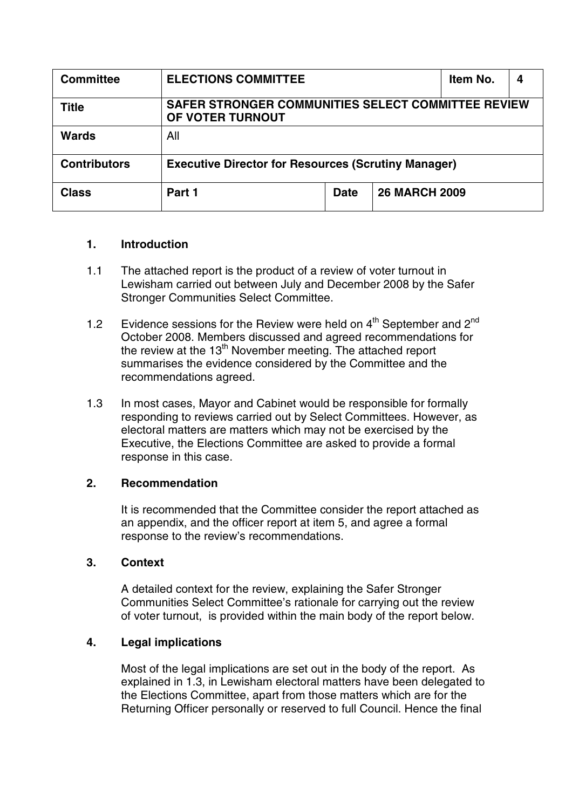| <b>Committee</b>    | <b>ELECTIONS COMMITTEE</b>                                             |             |                      | Item No. |  |
|---------------------|------------------------------------------------------------------------|-------------|----------------------|----------|--|
| Title               | SAFER STRONGER COMMUNITIES SELECT COMMITTEE REVIEW<br>OF VOTER TURNOUT |             |                      |          |  |
| <b>Wards</b>        | All                                                                    |             |                      |          |  |
| <b>Contributors</b> | <b>Executive Director for Resources (Scrutiny Manager)</b>             |             |                      |          |  |
| <b>Class</b>        | Part 1                                                                 | <b>Date</b> | <b>26 MARCH 2009</b> |          |  |

#### **1. Introduction**

- 1.1 The attached report is the product of a review of voter turnout in Lewisham carried out between July and December 2008 by the Safer Stronger Communities Select Committee.
- 1.2 Evidence sessions for the Review were held on  $4<sup>th</sup>$  September and  $2<sup>nd</sup>$ October 2008. Members discussed and agreed recommendations for the review at the  $13<sup>th</sup>$  November meeting. The attached report summarises the evidence considered by the Committee and the recommendations agreed.
- 1.3 In most cases, Mayor and Cabinet would be responsible for formally responding to reviews carried out by Select Committees. However, as electoral matters are matters which may not be exercised by the Executive, the Elections Committee are asked to provide a formal response in this case.

#### **2. Recommendation**

It is recommended that the Committee consider the report attached as an appendix, and the officer report at item 5, and agree a formal response to the review's recommendations.

#### **3. Context**

A detailed context for the review, explaining the Safer Stronger Communities Select Committee's rationale for carrying out the review of voter turnout, is provided within the main body of the report below.

#### **4. Legal implications**

Most of the legal implications are set out in the body of the report. As explained in 1.3, in Lewisham electoral matters have been delegated to the Elections Committee, apart from those matters which are for the Returning Officer personally or reserved to full Council. Hence the final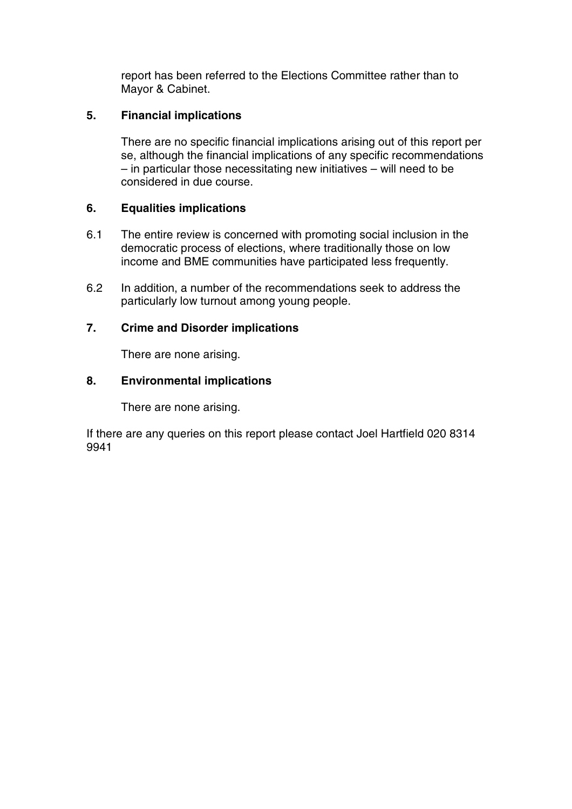report has been referred to the Elections Committee rather than to Mayor & Cabinet.

#### **5. Financial implications**

There are no specific financial implications arising out of this report per se, although the financial implications of any specific recommendations – in particular those necessitating new initiatives – will need to be considered in due course.

#### **6. Equalities implications**

- 6.1 The entire review is concerned with promoting social inclusion in the democratic process of elections, where traditionally those on low income and BME communities have participated less frequently.
- 6.2 In addition, a number of the recommendations seek to address the particularly low turnout among young people.

#### **7. Crime and Disorder implications**

There are none arising.

#### **8. Environmental implications**

There are none arising.

If there are any queries on this report please contact Joel Hartfield 020 8314 9941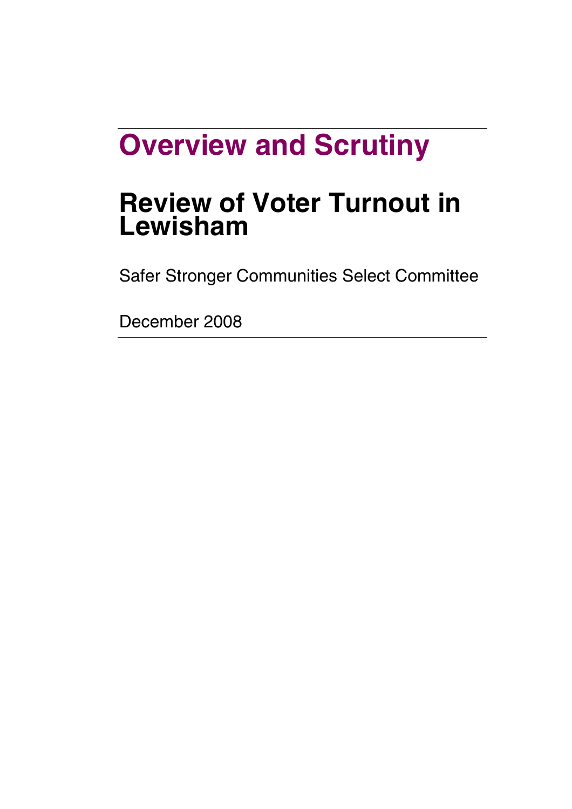# **Overview and Scrutiny**

## **Review of Voter Turnout in Lewisham**

Safer Stronger Communities Select Committee

December 2008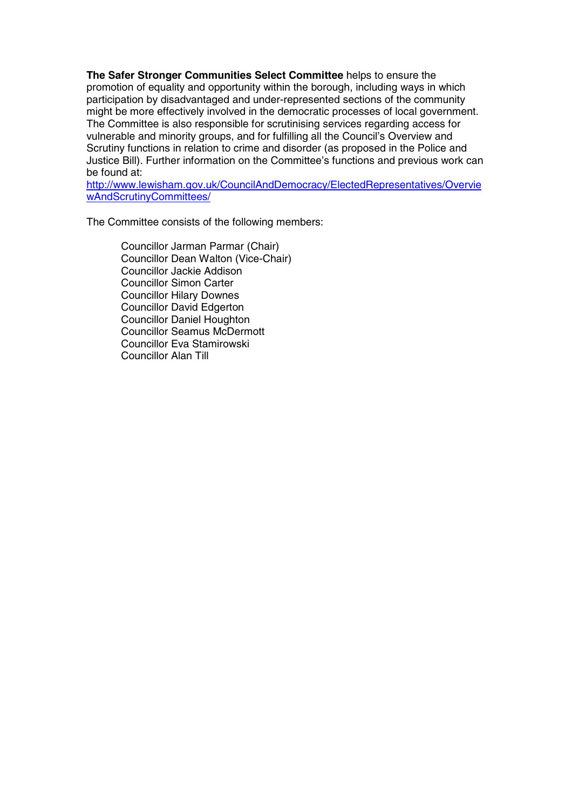**The Safer Stronger Communities Select Committee** helps to ensure the promotion of equality and opportunity within the borough, including ways in which participation by disadvantaged and under-represented sections of the community might be more effectively involved in the democratic processes of local government. The Committee is also responsible for scrutinising services regarding access for vulnerable and minority groups, and for fulfilling all the Council's Overview and Scrutiny functions in relation to crime and disorder (as proposed in the Police and Justice Bill). Further information on the Committee's functions and previous work can be found at:

http://www.lewisham.gov.uk/CouncilAndDemocracy/ElectedRepresentatives/Overvie wAndScrutinyCommittees/

The Committee consists of the following members:

Councillor Jarman Parmar (Chair) Councillor Dean Walton (Vice-Chair) Councillor Jackie Addison Councillor Simon Carter Councillor Hilary Downes Councillor David Edgerton Councillor Daniel Houghton Councillor Seamus McDermott Councillor Eva Stamirowski Councillor Alan Till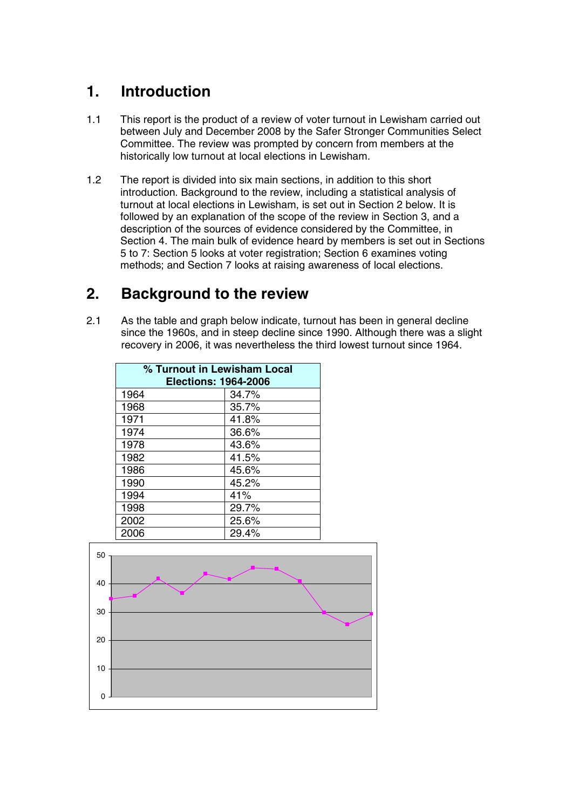## **1. Introduction**

- 1.1 This report is the product of a review of voter turnout in Lewisham carried out between July and December 2008 by the Safer Stronger Communities Select Committee. The review was prompted by concern from members at the historically low turnout at local elections in Lewisham.
- 1.2 The report is divided into six main sections, in addition to this short introduction. Background to the review, including a statistical analysis of turnout at local elections in Lewisham, is set out in Section 2 below. It is followed by an explanation of the scope of the review in Section 3, and a description of the sources of evidence considered by the Committee, in Section 4. The main bulk of evidence heard by members is set out in Sections 5 to 7: Section 5 looks at voter registration; Section 6 examines voting methods; and Section 7 looks at raising awareness of local elections.

## **2. Background to the review**

2.1 As the table and graph below indicate, turnout has been in general decline since the 1960s, and in steep decline since 1990. Although there was a slight recovery in 2006, it was nevertheless the third lowest turnout since 1964.

| % Turnout in Lewisham Local<br><b>Elections: 1964-2006</b> |       |  |  |
|------------------------------------------------------------|-------|--|--|
| 1964                                                       | 34.7% |  |  |
| 1968                                                       | 35.7% |  |  |
| 1971                                                       | 41.8% |  |  |
| 1974                                                       | 36.6% |  |  |
| 1978                                                       | 43.6% |  |  |
| 1982                                                       | 41.5% |  |  |
| 1986                                                       | 45.6% |  |  |
| 1990                                                       | 45.2% |  |  |
| 1994                                                       | 41%   |  |  |
| 1998                                                       | 29.7% |  |  |
| 2002                                                       | 25.6% |  |  |
| 2006                                                       | 29.4% |  |  |

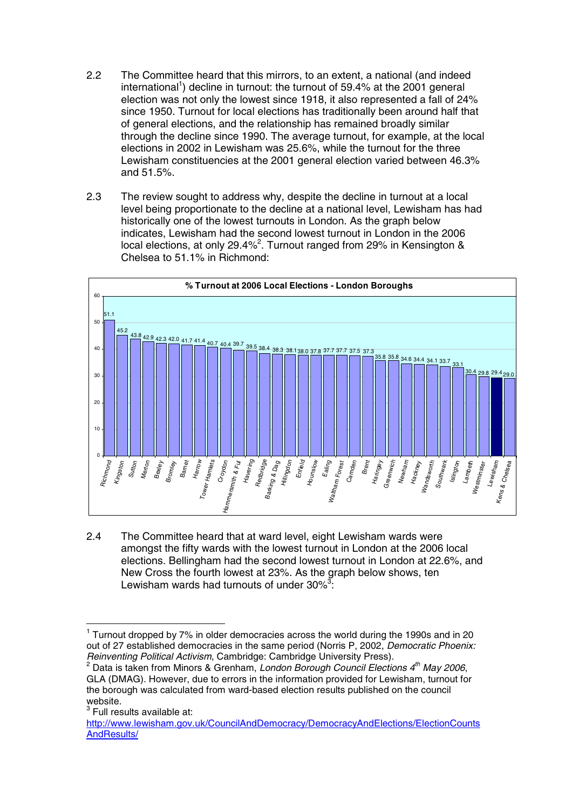- 2.2 The Committee heard that this mirrors, to an extent, a national (and indeed international<sup>1</sup>) decline in turnout: the turnout of 59.4% at the 2001 general election was not only the lowest since 1918, it also represented a fall of 24% since 1950. Turnout for local elections has traditionally been around half that of general elections, and the relationship has remained broadly similar through the decline since 1990. The average turnout, for example, at the local elections in 2002 in Lewisham was 25.6%, while the turnout for the three Lewisham constituencies at the 2001 general election varied between 46.3% and 51.5%.
- 2.3 The review sought to address why, despite the decline in turnout at a local level being proportionate to the decline at a national level, Lewisham has had historically one of the lowest turnouts in London. As the graph below indicates, Lewisham had the second lowest turnout in London in the 2006 local elections, at only 29.4%<sup>2</sup>. Turnout ranged from 29% in Kensington & Chelsea to 51.1% in Richmond:



2.4 The Committee heard that at ward level, eight Lewisham wards were amongst the fifty wards with the lowest turnout in London at the 2006 local elections. Bellingham had the second lowest turnout in London at 22.6%, and New Cross the fourth lowest at 23%. As the graph below shows, ten Lewisham wards had turnouts of under  $30\%^3$ :

 $1$  Turnout dropped by 7% in older democracies across the world during the 1990s and in 20 out of 27 established democracies in the same period (Norris P, 2002, Democratic Phoenix:<br>Reinventing Political Activism, Cambridge: Cambridge University Press).

<sup>&</sup>lt;sup>2</sup> Data is taken from Minors & Grenham, London Borough Council Elections  $4<sup>th</sup>$  May 2006, GLA (DMAG). However, due to errors in the information provided for Lewisham, turnout for the borough was calculated from ward-based election results published on the council website.<br> $3$  Full results available at:

http://www.lewisham.gov.uk/CouncilAndDemocracy/DemocracyAndElections/ElectionCounts AndResults/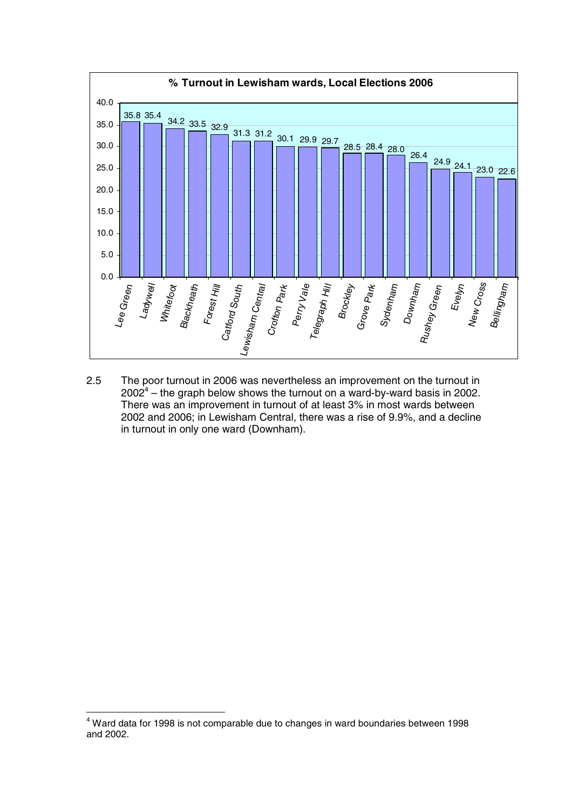

2.5 The poor turnout in 2006 was nevertheless an improvement on the turnout in  $2002<sup>4</sup>$  – the graph below shows the turnout on a ward-by-ward basis in 2002. There was an improvement in turnout of at least 3% in most wards between 2002 and 2006; in Lewisham Central, there was a rise of 9.9%, and a decline in turnout in only one ward (Downham).

<sup>4</sup> Ward data for 1998 is not comparable due to changes in ward boundaries between 1998 and 2002.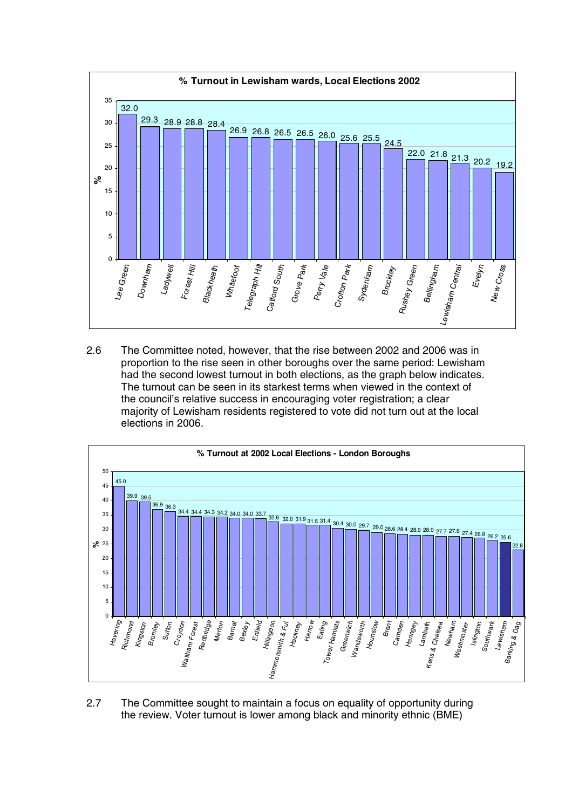

2.6 The Committee noted, however, that the rise between 2002 and 2006 was in proportion to the rise seen in other boroughs over the same period: Lewisham had the second lowest turnout in both elections, as the graph below indicates. The turnout can be seen in its starkest terms when viewed in the context of the council's relative success in encouraging voter registration; a clear majority of Lewisham residents registered to vote did not turn out at the local elections in 2006.



2.7 The Committee sought to maintain a focus on equality of opportunity during the review. Voter turnout is lower among black and minority ethnic (BME)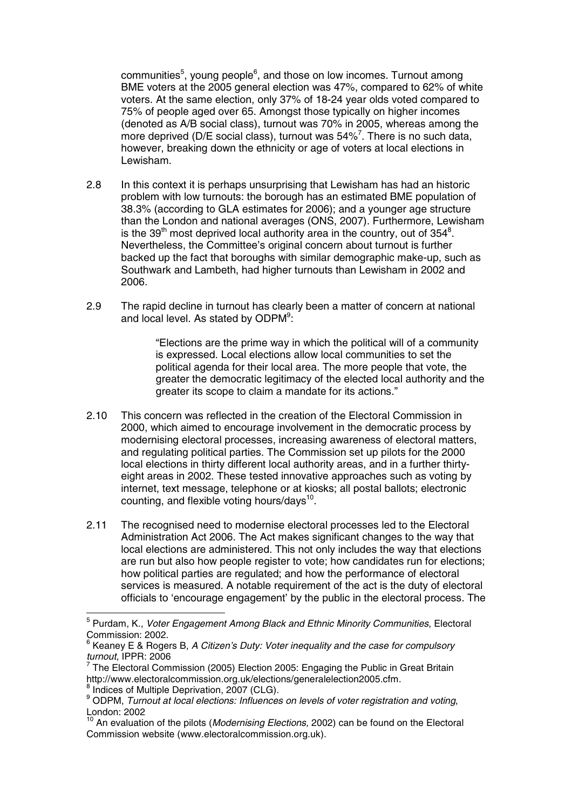communities<sup>5</sup>, young people<sup>6</sup>, and those on low incomes. Turnout among BME voters at the 2005 general election was 47%, compared to 62% of white voters. At the same election, only 37% of 18-24 year olds voted compared to 75% of people aged over 65. Amongst those typically on higher incomes (denoted as A/B social class), turnout was 70% in 2005, whereas among the more deprived (D/E social class), turnout was 54%<sup>7</sup>. There is no such data, however, breaking down the ethnicity or age of voters at local elections in Lewisham.

- 2.8 In this context it is perhaps unsurprising that Lewisham has had an historic problem with low turnouts: the borough has an estimated BME population of 38.3% (according to GLA estimates for 2006); and a younger age structure than the London and national averages (ONS, 2007). Furthermore, Lewisham is the 39<sup>th</sup> most deprived local authority area in the country, out of 354<sup>8</sup>. Nevertheless, the Committee's original concern about turnout is further backed up the fact that boroughs with similar demographic make-up, such as Southwark and Lambeth, had higher turnouts than Lewisham in 2002 and 2006.
- 2.9 The rapid decline in turnout has clearly been a matter of concern at national and local level. As stated by ODPM<sup>9</sup>:

"Elections are the prime way in which the political will of a community is expressed. Local elections allow local communities to set the political agenda for their local area. The more people that vote, the greater the democratic legitimacy of the elected local authority and the greater its scope to claim a mandate for its actions."

- 2.10 This concern was reflected in the creation of the Electoral Commission in 2000, which aimed to encourage involvement in the democratic process by modernising electoral processes, increasing awareness of electoral matters, and regulating political parties. The Commission set up pilots for the 2000 local elections in thirty different local authority areas, and in a further thirtyeight areas in 2002. These tested innovative approaches such as voting by internet, text message, telephone or at kiosks; all postal ballots; electronic counting, and flexible voting hours/days<sup>10</sup>.
- 2.11 The recognised need to modernise electoral processes led to the Electoral Administration Act 2006. The Act makes significant changes to the way that local elections are administered. This not only includes the way that elections are run but also how people register to vote; how candidates run for elections; how political parties are regulated; and how the performance of electoral services is measured. A notable requirement of the act is the duty of electoral officials to 'encourage engagement' by the public in the electoral process. The

 $5$  Purdam, K., *Voter Engagement Among Black and Ethnic Minority Communities*, Electoral Commission: 2002.

 $^6$  Keaney E & Rogers B, A Citizen's Duty: Voter inequality and the case for compulsory turnout, IPPR: 2006

<sup>&</sup>lt;sup>7</sup> The Electoral Commission (2005) Election 2005: Engaging the Public in Great Britain http://www.electoralcommission.org.uk/elections/generalelection2005.cfm.

 $\frac{8}{10}$  indices of Multiple Deprivation, 2007 (CLG).<br> $\frac{8}{10}$  ODPM, Turnout at local elections: Influences on levels of voter registration and voting, London: 2002

<sup>&</sup>lt;sup>10</sup> An evaluation of the pilots (*Modernising Elections,* 2002) can be found on the Electoral Commission website (www.electoralcommission.org.uk).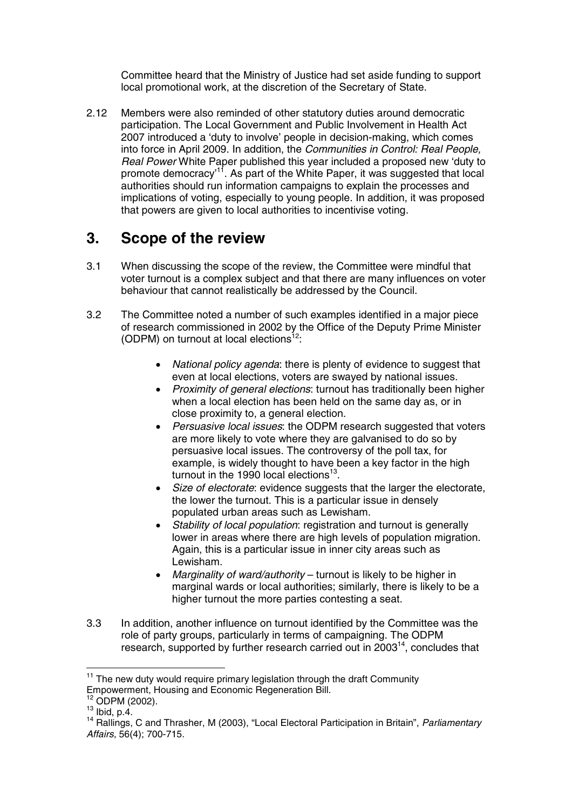Committee heard that the Ministry of Justice had set aside funding to support local promotional work, at the discretion of the Secretary of State.

2.12 Members were also reminded of other statutory duties around democratic participation. The Local Government and Public Involvement in Health Act 2007 introduced a 'duty to involve' people in decision-making, which comes into force in April 2009. In addition, the Communities in Control: Real People, Real Power White Paper published this year included a proposed new 'duty to promote democracy'<sup>11</sup>. As part of the White Paper, it was suggested that local authorities should run information campaigns to explain the processes and implications of voting, especially to young people. In addition, it was proposed that powers are given to local authorities to incentivise voting.

### **3. Scope of the review**

- 3.1 When discussing the scope of the review, the Committee were mindful that voter turnout is a complex subject and that there are many influences on voter behaviour that cannot realistically be addressed by the Council.
- 3.2 The Committee noted a number of such examples identified in a major piece of research commissioned in 2002 by the Office of the Deputy Prime Minister (ODPM) on turnout at local elections $12$ :
	- National policy agenda: there is plenty of evidence to suggest that even at local elections, voters are swayed by national issues.
	- Proximity of general elections: turnout has traditionally been higher when a local election has been held on the same day as, or in close proximity to, a general election.
	- Persuasive local issues: the ODPM research suggested that voters are more likely to vote where they are galvanised to do so by persuasive local issues. The controversy of the poll tax, for example, is widely thought to have been a key factor in the high turnout in the 1990 local elections $^{13}$ .
	- Size of electorate: evidence suggests that the larger the electorate, the lower the turnout. This is a particular issue in densely populated urban areas such as Lewisham.
	- Stability of local population: registration and turnout is generally lower in areas where there are high levels of population migration. Again, this is a particular issue in inner city areas such as Lewisham.
	- Marginality of ward/authority turnout is likely to be higher in marginal wards or local authorities; similarly, there is likely to be a higher turnout the more parties contesting a seat.
- 3.3 In addition, another influence on turnout identified by the Committee was the role of party groups, particularly in terms of campaigning. The ODPM research, supported by further research carried out in 2003<sup>14</sup>, concludes that

 $11$  The new duty would require primary legislation through the draft Community Empowerment, Housing and Economic Regeneration Bill.<br><sup>12</sup> ODPM (2002).<br><sup>13</sup> Ibid, p.4.<br><sup>14</sup> Rallings, C and Thrasher, M (2003), "Local Electoral Participation in Britain", *Parliamentary* 

Affairs, 56(4); 700-715.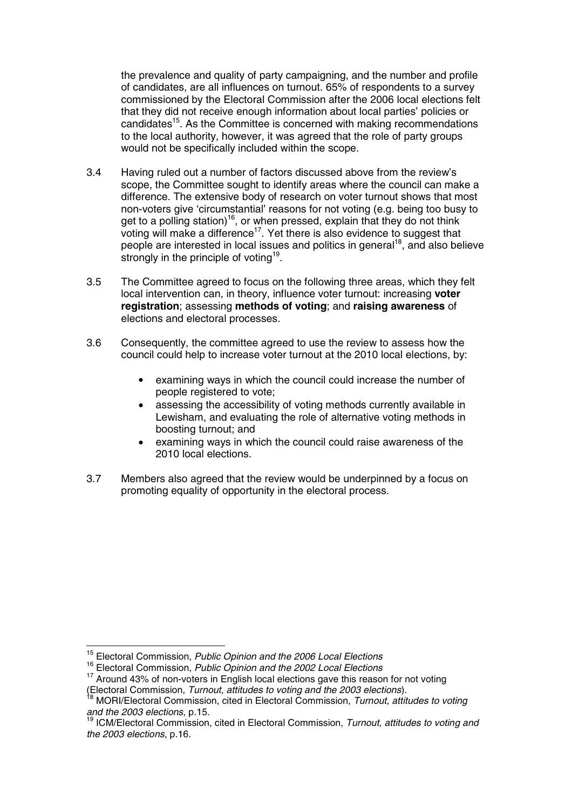the prevalence and quality of party campaigning, and the number and profile of candidates, are all influences on turnout. 65% of respondents to a survey commissioned by the Electoral Commission after the 2006 local elections felt that they did not receive enough information about local parties' policies or candidates<sup>15</sup>. As the Committee is concerned with making recommendations to the local authority, however, it was agreed that the role of party groups would not be specifically included within the scope.

- 3.4 Having ruled out a number of factors discussed above from the review's scope, the Committee sought to identify areas where the council can make a difference. The extensive body of research on voter turnout shows that most non-voters give 'circumstantial' reasons for not voting (e.g. being too busy to get to a polling station)<sup>16</sup>, or when pressed, explain that they do not think voting will make a difference<sup>17</sup>. Yet there is also evidence to suggest that people are interested in local issues and politics in general<sup>18</sup>, and also believe strongly in the principle of voting<sup>19</sup>.
- 3.5 The Committee agreed to focus on the following three areas, which they felt local intervention can, in theory, influence voter turnout: increasing **voter registration**; assessing **methods of voting**; and **raising awareness** of elections and electoral processes.
- 3.6 Consequently, the committee agreed to use the review to assess how the council could help to increase voter turnout at the 2010 local elections, by:
	- examining ways in which the council could increase the number of people registered to vote;
	- assessing the accessibility of voting methods currently available in Lewisham, and evaluating the role of alternative voting methods in boosting turnout; and
	- examining ways in which the council could raise awareness of the 2010 local elections.
- 3.7 Members also agreed that the review would be underpinned by a focus on promoting equality of opportunity in the electoral process.

<sup>&</sup>lt;sup>15</sup> Electoral Commission, Public Opinion and the 2006 Local Elections

<sup>&</sup>lt;sup>16</sup> Electoral Commission, Public Opinion and the 2002 Local Elections

<sup>&</sup>lt;sup>17</sup> Around 43% of non-voters in English local elections gave this reason for not voting (Electoral Commission, Turnout, attitudes to voting and the 2003 elections).<br><sup>18</sup> MORI/Electoral Commission, cited in Electoral Commission, Turnout, attitudes to voting

and the 2003 elections, p.15.<br><sup>19</sup> ICM/Electoral Commission, cited in Electoral Commission, Turnout, attitudes to voting and

the 2003 elections, p.16.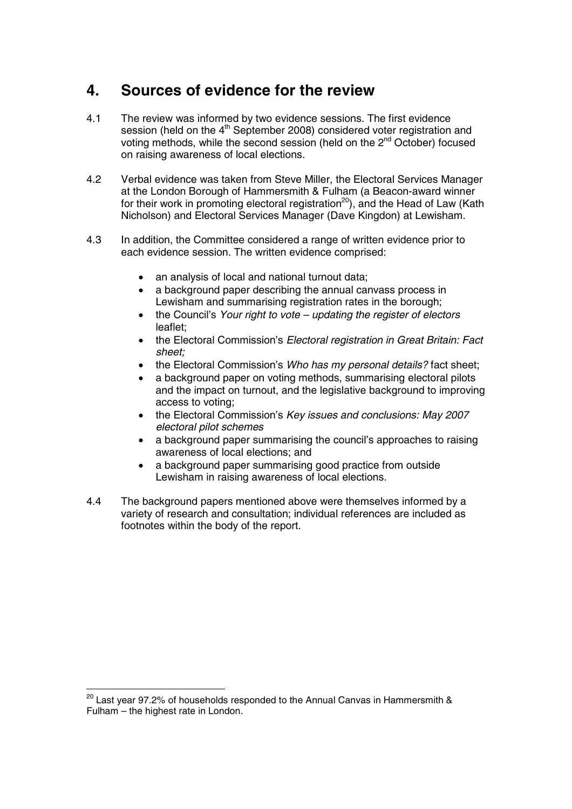## **4. Sources of evidence for the review**

- 4.1 The review was informed by two evidence sessions. The first evidence session (held on the  $4<sup>th</sup>$  September 2008) considered voter registration and voting methods, while the second session (held on the 2<sup>nd</sup> October) focused on raising awareness of local elections.
- 4.2 Verbal evidence was taken from Steve Miller, the Electoral Services Manager at the London Borough of Hammersmith & Fulham (a Beacon-award winner for their work in promoting electoral registration<sup>20</sup>), and the Head of Law (Kath Nicholson) and Electoral Services Manager (Dave Kingdon) at Lewisham.
- 4.3 In addition, the Committee considered a range of written evidence prior to each evidence session. The written evidence comprised:
	- an analysis of local and national turnout data;
	- a background paper describing the annual canvass process in Lewisham and summarising registration rates in the borough:
	- the Council's Your right to vote updating the register of electors leaflet;
	- the Electoral Commission's *Electoral registration in Great Britain: Fact* sheet;
	- the Electoral Commission's Who has my personal details? fact sheet;
	- a background paper on voting methods, summarising electoral pilots and the impact on turnout, and the legislative background to improving access to voting;
	- the Electoral Commission's Key issues and conclusions: May 2007 electoral pilot schemes
	- a background paper summarising the council's approaches to raising awareness of local elections; and
	- a background paper summarising good practice from outside Lewisham in raising awareness of local elections.
- 4.4 The background papers mentioned above were themselves informed by a variety of research and consultation; individual references are included as footnotes within the body of the report.

 $^{20}$  Last year 97.2% of households responded to the Annual Canvas in Hammersmith & Fulham – the highest rate in London.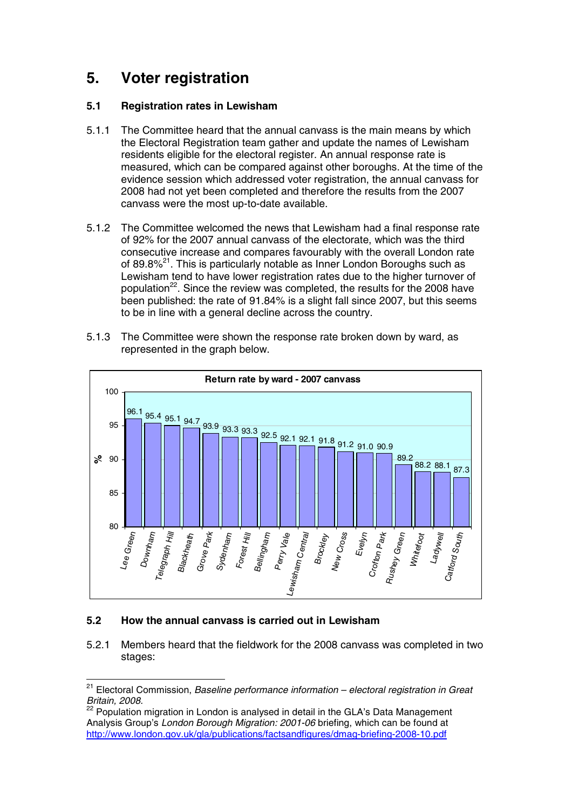## **5. Voter registration**

#### **5.1 Registration rates in Lewisham**

- 5.1.1 The Committee heard that the annual canvass is the main means by which the Electoral Registration team gather and update the names of Lewisham residents eligible for the electoral register. An annual response rate is measured, which can be compared against other boroughs. At the time of the evidence session which addressed voter registration, the annual canvass for 2008 had not yet been completed and therefore the results from the 2007 canvass were the most up-to-date available.
- 5.1.2 The Committee welcomed the news that Lewisham had a final response rate of 92% for the 2007 annual canvass of the electorate, which was the third consecutive increase and compares favourably with the overall London rate of 89.8%<sup>21</sup>. This is particularly notable as Inner London Boroughs such as Lewisham tend to have lower registration rates due to the higher turnover of population<sup>22</sup>. Since the review was completed, the results for the 2008 have been published: the rate of 91.84% is a slight fall since 2007, but this seems to be in line with a general decline across the country.
- 5.1.3 The Committee were shown the response rate broken down by ward, as represented in the graph below.



#### **5.2 How the annual canvass is carried out in Lewisham**

5.2.1 Members heard that the fieldwork for the 2008 canvass was completed in two stages:

<sup>&</sup>lt;sup>21</sup> Electoral Commission, *Baseline performance information – electoral registration in Great*<br>Britain, 2008.<br><sup>22</sup> Bopulation migration in London is anglued in detail to the CLAN Detail of the CLAN

Population migration in London is analysed in detail in the GLA's Data Management Analysis Group's London Borough Migration: 2001-06 briefing, which can be found at http://www.london.gov.uk/gla/publications/factsandfigures/dmag-briefing-2008-10.pdf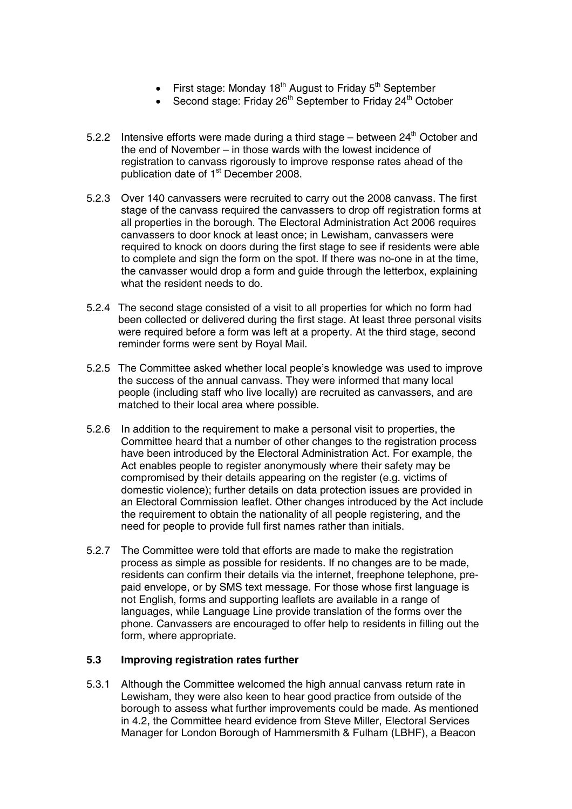- First stage: Monday  $18<sup>th</sup>$  August to Friday  $5<sup>th</sup>$  September
- Second stage: Friday 26<sup>th</sup> September to Friday 24<sup>th</sup> October
- 5.2.2 Intensive efforts were made during a third stage between  $24<sup>th</sup>$  October and the end of November – in those wards with the lowest incidence of registration to canvass rigorously to improve response rates ahead of the publication date of 1<sup>st</sup> December 2008.
- 5.2.3 Over 140 canvassers were recruited to carry out the 2008 canvass. The first stage of the canvass required the canvassers to drop off registration forms at all properties in the borough. The Electoral Administration Act 2006 requires canvassers to door knock at least once; in Lewisham, canvassers were required to knock on doors during the first stage to see if residents were able to complete and sign the form on the spot. If there was no-one in at the time, the canvasser would drop a form and guide through the letterbox, explaining what the resident needs to do.
- 5.2.4 The second stage consisted of a visit to all properties for which no form had been collected or delivered during the first stage. At least three personal visits were required before a form was left at a property. At the third stage, second reminder forms were sent by Royal Mail.
- 5.2.5 The Committee asked whether local people's knowledge was used to improve the success of the annual canvass. They were informed that many local people (including staff who live locally) are recruited as canvassers, and are matched to their local area where possible.
- 5.2.6 In addition to the requirement to make a personal visit to properties, the Committee heard that a number of other changes to the registration process have been introduced by the Electoral Administration Act. For example, the Act enables people to register anonymously where their safety may be compromised by their details appearing on the register (e.g. victims of domestic violence); further details on data protection issues are provided in an Electoral Commission leaflet. Other changes introduced by the Act include the requirement to obtain the nationality of all people registering, and the need for people to provide full first names rather than initials.
- 5.2.7 The Committee were told that efforts are made to make the registration process as simple as possible for residents. If no changes are to be made, residents can confirm their details via the internet, freephone telephone, prepaid envelope, or by SMS text message. For those whose first language is not English, forms and supporting leaflets are available in a range of languages, while Language Line provide translation of the forms over the phone. Canvassers are encouraged to offer help to residents in filling out the form, where appropriate.

#### **5.3 Improving registration rates further**

5.3.1 Although the Committee welcomed the high annual canvass return rate in Lewisham, they were also keen to hear good practice from outside of the borough to assess what further improvements could be made. As mentioned in 4.2, the Committee heard evidence from Steve Miller, Electoral Services Manager for London Borough of Hammersmith & Fulham (LBHF), a Beacon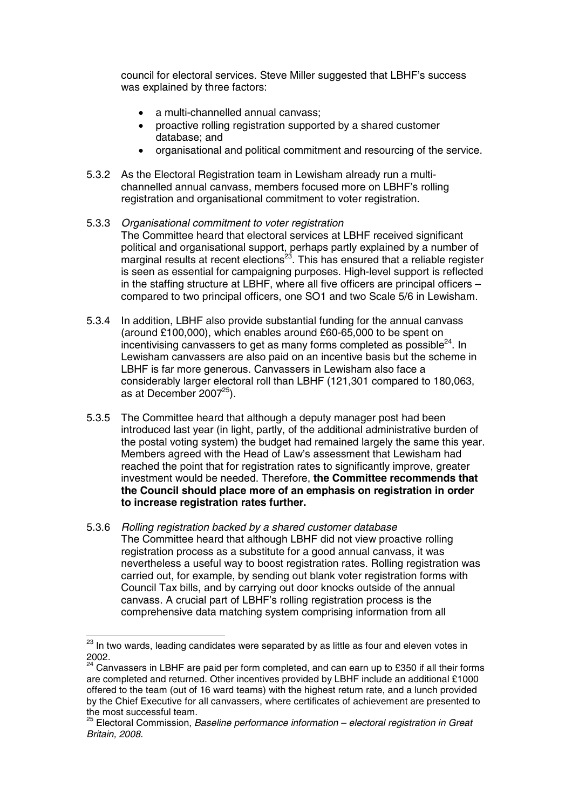council for electoral services. Steve Miller suggested that LBHF's success was explained by three factors:

- a multi-channelled annual canvass:
- proactive rolling registration supported by a shared customer database; and
- organisational and political commitment and resourcing of the service.
- 5.3.2 As the Electoral Registration team in Lewisham already run a multichannelled annual canvass, members focused more on LBHF's rolling registration and organisational commitment to voter registration.

#### 5.3.3 Organisational commitment to voter registration

- The Committee heard that electoral services at LBHF received significant political and organisational support, perhaps partly explained by a number of marginal results at recent elections<sup>23</sup>. This has ensured that a reliable register is seen as essential for campaigning purposes. High-level support is reflected in the staffing structure at LBHF, where all five officers are principal officers – compared to two principal officers, one SO1 and two Scale 5/6 in Lewisham.
- 5.3.4 In addition, LBHF also provide substantial funding for the annual canvass (around £100,000), which enables around £60-65,000 to be spent on incentivising canvassers to get as many forms completed as possible $^{24}$ . In Lewisham canvassers are also paid on an incentive basis but the scheme in LBHF is far more generous. Canvassers in Lewisham also face a considerably larger electoral roll than LBHF (121,301 compared to 180,063, as at December 2007<sup>25</sup>).
- 5.3.5 The Committee heard that although a deputy manager post had been introduced last year (in light, partly, of the additional administrative burden of the postal voting system) the budget had remained largely the same this year. Members agreed with the Head of Law's assessment that Lewisham had reached the point that for registration rates to significantly improve, greater investment would be needed. Therefore, **the Committee recommends that the Council should place more of an emphasis on registration in order to increase registration rates further.**
- 5.3.6 Rolling registration backed by a shared customer database The Committee heard that although LBHF did not view proactive rolling registration process as a substitute for a good annual canvass, it was nevertheless a useful way to boost registration rates. Rolling registration was carried out, for example, by sending out blank voter registration forms with Council Tax bills, and by carrying out door knocks outside of the annual canvass. A crucial part of LBHF's rolling registration process is the comprehensive data matching system comprising information from all

 $^{23}$  In two wards, leading candidates were separated by as little as four and eleven votes in 2002.

 $24$  Canvassers in LBHF are paid per form completed, and can earn up to £350 if all their forms are completed and returned. Other incentives provided by LBHF include an additional £1000 offered to the team (out of 16 ward teams) with the highest return rate, and a lunch provided by the Chief Executive for all canvassers, where certificates of achievement are presented to the most successful team.<br><sup>25</sup> Electoral Commission, Baseline performance information – electoral registration in Great

Britain, 2008.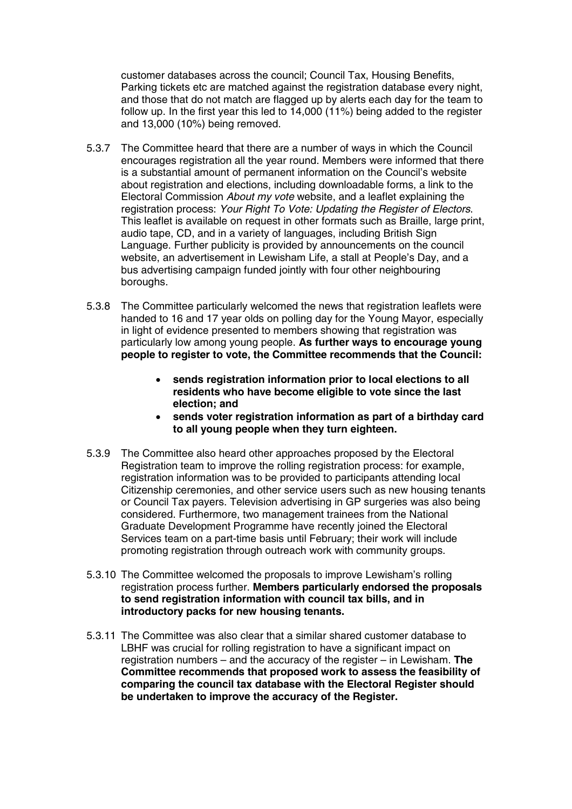customer databases across the council; Council Tax, Housing Benefits, Parking tickets etc are matched against the registration database every night, and those that do not match are flagged up by alerts each day for the team to follow up. In the first year this led to 14,000 (11%) being added to the register and 13,000 (10%) being removed.

- 5.3.7 The Committee heard that there are a number of ways in which the Council encourages registration all the year round. Members were informed that there is a substantial amount of permanent information on the Council's website about registration and elections, including downloadable forms, a link to the Electoral Commission About my vote website, and a leaflet explaining the registration process: Your Right To Vote: Updating the Register of Electors. This leaflet is available on request in other formats such as Braille, large print, audio tape, CD, and in a variety of languages, including British Sign Language. Further publicity is provided by announcements on the council website, an advertisement in Lewisham Life, a stall at People's Day, and a bus advertising campaign funded jointly with four other neighbouring boroughs.
- 5.3.8 The Committee particularly welcomed the news that registration leaflets were handed to 16 and 17 year olds on polling day for the Young Mayor, especially in light of evidence presented to members showing that registration was particularly low among young people. **As further ways to encourage young people to register to vote, the Committee recommends that the Council:**
	- **sends registration information prior to local elections to all residents who have become eligible to vote since the last election; and**
	- **sends voter registration information as part of a birthday card to all young people when they turn eighteen.**
- 5.3.9 The Committee also heard other approaches proposed by the Electoral Registration team to improve the rolling registration process: for example, registration information was to be provided to participants attending local Citizenship ceremonies, and other service users such as new housing tenants or Council Tax payers. Television advertising in GP surgeries was also being considered. Furthermore, two management trainees from the National Graduate Development Programme have recently joined the Electoral Services team on a part-time basis until February; their work will include promoting registration through outreach work with community groups.
- 5.3.10 The Committee welcomed the proposals to improve Lewisham's rolling registration process further. **Members particularly endorsed the proposals to send registration information with council tax bills, and in introductory packs for new housing tenants.**
- 5.3.11 The Committee was also clear that a similar shared customer database to LBHF was crucial for rolling registration to have a significant impact on registration numbers – and the accuracy of the register – in Lewisham. **The Committee recommends that proposed work to assess the feasibility of comparing the council tax database with the Electoral Register should be undertaken to improve the accuracy of the Register.**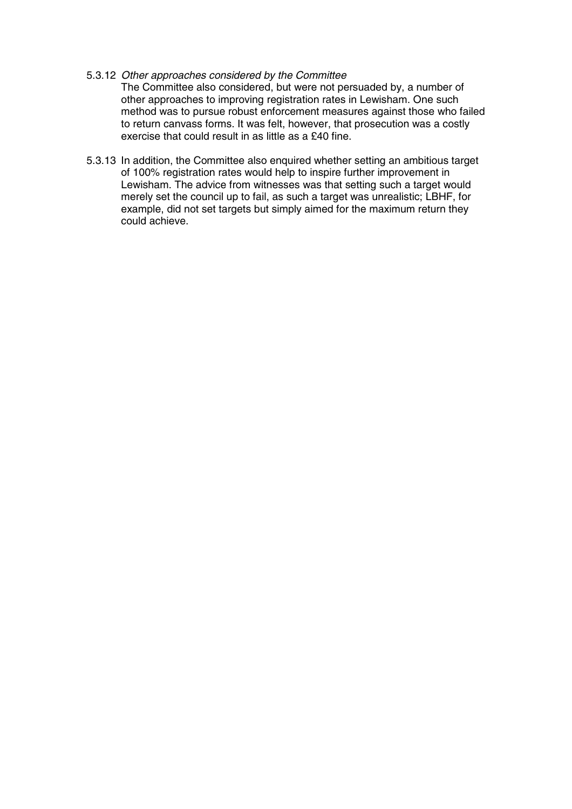#### 5.3.12 Other approaches considered by the Committee

The Committee also considered, but were not persuaded by, a number of other approaches to improving registration rates in Lewisham. One such method was to pursue robust enforcement measures against those who failed to return canvass forms. It was felt, however, that prosecution was a costly exercise that could result in as little as a £40 fine.

5.3.13 In addition, the Committee also enquired whether setting an ambitious target of 100% registration rates would help to inspire further improvement in Lewisham. The advice from witnesses was that setting such a target would merely set the council up to fail, as such a target was unrealistic; LBHF, for example, did not set targets but simply aimed for the maximum return they could achieve.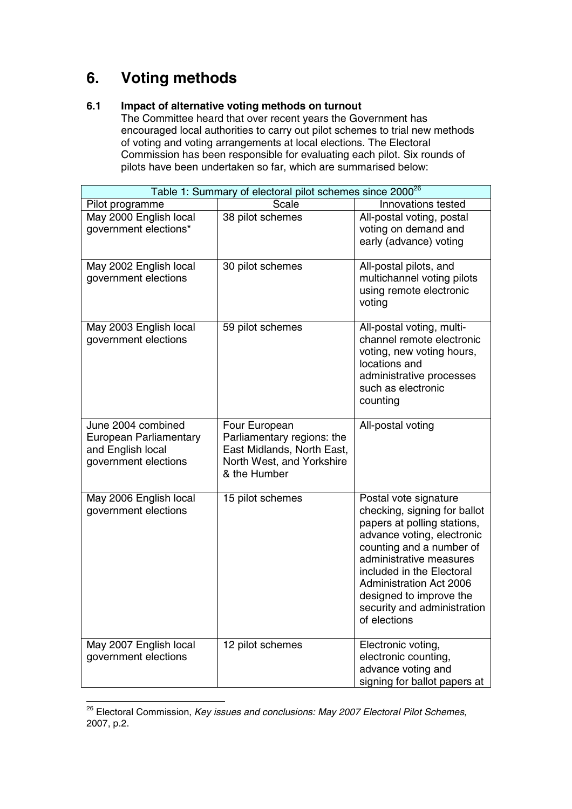## **6. Voting methods**

#### **6.1 Impact of alternative voting methods on turnout**

The Committee heard that over recent years the Government has encouraged local authorities to carry out pilot schemes to trial new methods of voting and voting arrangements at local elections. The Electoral Commission has been responsible for evaluating each pilot. Six rounds of pilots have been undertaken so far, which are summarised below:

| Table 1: Summary of electoral pilot schemes since 2000 <sup>26</sup>                      |                                                                                                                        |                                                                                                                                                                                                                                                                                                                    |  |  |  |
|-------------------------------------------------------------------------------------------|------------------------------------------------------------------------------------------------------------------------|--------------------------------------------------------------------------------------------------------------------------------------------------------------------------------------------------------------------------------------------------------------------------------------------------------------------|--|--|--|
| Pilot programme                                                                           | Scale                                                                                                                  | Innovations tested                                                                                                                                                                                                                                                                                                 |  |  |  |
| May 2000 English local<br>government elections*                                           | 38 pilot schemes                                                                                                       | All-postal voting, postal<br>voting on demand and<br>early (advance) voting                                                                                                                                                                                                                                        |  |  |  |
| May 2002 English local<br>government elections                                            | 30 pilot schemes                                                                                                       | All-postal pilots, and<br>multichannel voting pilots<br>using remote electronic<br>voting                                                                                                                                                                                                                          |  |  |  |
| May 2003 English local<br>government elections                                            | 59 pilot schemes                                                                                                       | All-postal voting, multi-<br>channel remote electronic<br>voting, new voting hours,<br>locations and<br>administrative processes<br>such as electronic<br>counting                                                                                                                                                 |  |  |  |
| June 2004 combined<br>European Parliamentary<br>and English local<br>government elections | Four European<br>Parliamentary regions: the<br>East Midlands, North East,<br>North West, and Yorkshire<br>& the Humber | All-postal voting                                                                                                                                                                                                                                                                                                  |  |  |  |
| May 2006 English local<br>government elections                                            | 15 pilot schemes                                                                                                       | Postal vote signature<br>checking, signing for ballot<br>papers at polling stations,<br>advance voting, electronic<br>counting and a number of<br>administrative measures<br>included in the Electoral<br><b>Administration Act 2006</b><br>designed to improve the<br>security and administration<br>of elections |  |  |  |
| May 2007 English local<br>government elections                                            | $\overline{12}$ pilot schemes                                                                                          | Electronic voting,<br>electronic counting,<br>advance voting and<br>signing for ballot papers at                                                                                                                                                                                                                   |  |  |  |

 $26$  Electoral Commission, Key issues and conclusions: May 2007 Electoral Pilot Schemes, 2007, p.2.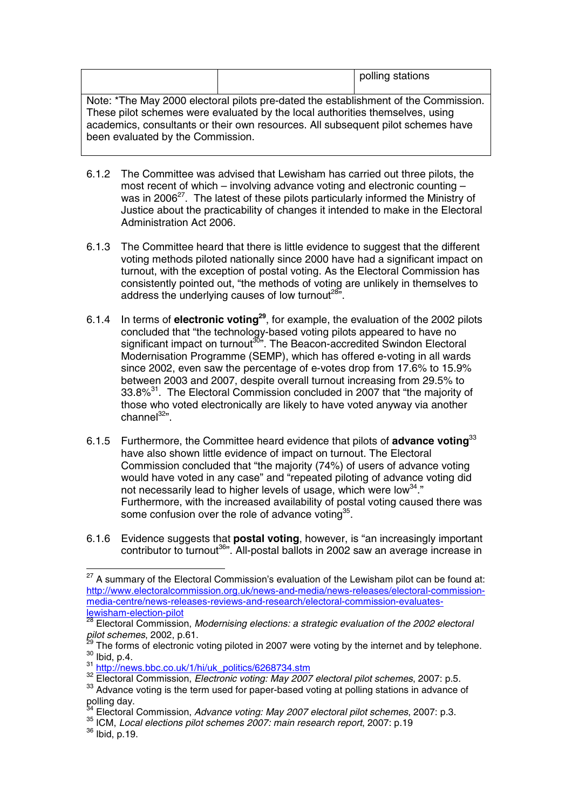|                                                                                                                                                                                                                                                                                               |  | polling stations |  |
|-----------------------------------------------------------------------------------------------------------------------------------------------------------------------------------------------------------------------------------------------------------------------------------------------|--|------------------|--|
| Note: *The May 2000 electoral pilots pre-dated the establishment of the Commission.<br>These pilot schemes were evaluated by the local authorities themselves, using<br>academics, consultants or their own resources. All subsequent pilot schemes have<br>been evaluated by the Commission. |  |                  |  |

- 6.1.2 The Committee was advised that Lewisham has carried out three pilots, the most recent of which – involving advance voting and electronic counting – was in 2006 $27$ . The latest of these pilots particularly informed the Ministry of Justice about the practicability of changes it intended to make in the Electoral Administration Act 2006.
- 6.1.3 The Committee heard that there is little evidence to suggest that the different voting methods piloted nationally since 2000 have had a significant impact on turnout, with the exception of postal voting. As the Electoral Commission has consistently pointed out, "the methods of voting are unlikely in themselves to address the underlying causes of low turnout<sup>285</sup>.
- 6.1.4 In terms of **electronic voting29** , for example, the evaluation of the 2002 pilots concluded that "the technology-based voting pilots appeared to have no significant impact on turnout<sup>30</sup>". The Beacon-accredited Swindon Electoral Modernisation Programme (SEMP), which has offered e-voting in all wards since 2002, even saw the percentage of e-votes drop from 17.6% to 15.9% between 2003 and 2007, despite overall turnout increasing from 29.5% to 33.8%<sup>31</sup>. The Electoral Commission concluded in 2007 that "the majority of those who voted electronically are likely to have voted anyway via another channel<sup>32</sup>".
- 6.1.5 Furthermore, the Committee heard evidence that pilots of **advance voting**<sup>33</sup> have also shown little evidence of impact on turnout. The Electoral Commission concluded that "the majority (74%) of users of advance voting would have voted in any case" and "repeated piloting of advance voting did not necessarily lead to higher levels of usage, which were low $^{34}$ ." Furthermore, with the increased availability of postal voting caused there was some confusion over the role of advance voting $35$ .
- 6.1.6 Evidence suggests that **postal voting**, however, is "an increasingly important contributor to turnout<sup>36</sup>". All-postal ballots in 2002 saw an average increase in

 $27$  A summary of the Electoral Commission's evaluation of the Lewisham pilot can be found at: http://www.electoralcommission.org.uk/news-and-media/news-releases/electoral-commissionmedia-centre/news-releases-reviews-and-research/electoral-commission-evaluateslewisham-election-pilot

<sup>28</sup> Electoral Commission, Modernising elections: a strategic evaluation of the 2002 electoral<br>pilot schemes, 2002, p.61.

<sup>&</sup>lt;sup>29</sup> The forms of electronic voting piloted in 2007 were voting by the internet and by telephone.<br><sup>30</sup> Ibid, p.4.<br><sup>31</sup> http://news.bbc.co.uk/1/hi/uk\_politics/6268734.stm<br><sup>32</sup> Electoral Commission, *Electronic voting: May* 

<sup>&</sup>lt;sup>33</sup> Advance voting is the term used for paper-based voting at polling stations in advance of polling day.

<sup>&</sup>lt;sup>34</sup> Electoral Commission, Advance voting: May 2007 electoral pilot schemes, 2007: p.3. 35 ICM, Local elections pilot schemes 2007: main research report, 2007: p.19

<sup>36</sup> Ibid, p.19.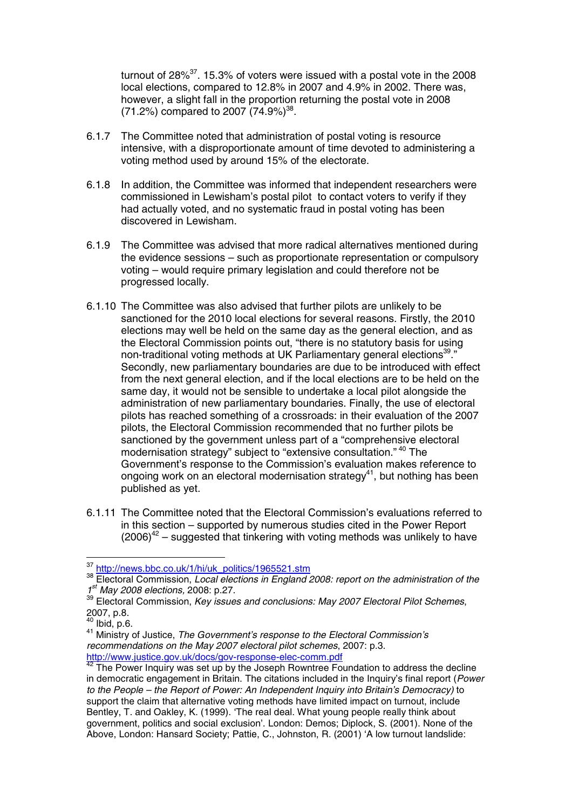turnout of 28% $37$ . 15.3% of voters were issued with a postal vote in the 2008 local elections, compared to 12.8% in 2007 and 4.9% in 2002. There was, however, a slight fall in the proportion returning the postal vote in 2008 (71.2%) compared to 2007 (74.9%)<sup>38</sup>.

- 6.1.7 The Committee noted that administration of postal voting is resource intensive, with a disproportionate amount of time devoted to administering a voting method used by around 15% of the electorate.
- 6.1.8 In addition, the Committee was informed that independent researchers were commissioned in Lewisham's postal pilot to contact voters to verify if they had actually voted, and no systematic fraud in postal voting has been discovered in Lewisham.
- 6.1.9 The Committee was advised that more radical alternatives mentioned during the evidence sessions – such as proportionate representation or compulsory voting – would require primary legislation and could therefore not be progressed locally.
- 6.1.10 The Committee was also advised that further pilots are unlikely to be sanctioned for the 2010 local elections for several reasons. Firstly, the 2010 elections may well be held on the same day as the general election, and as the Electoral Commission points out, "there is no statutory basis for using non-traditional voting methods at UK Parliamentary general elections<sup>39</sup>." Secondly, new parliamentary boundaries are due to be introduced with effect from the next general election, and if the local elections are to be held on the same day, it would not be sensible to undertake a local pilot alongside the administration of new parliamentary boundaries. Finally, the use of electoral pilots has reached something of a crossroads: in their evaluation of the 2007 pilots, the Electoral Commission recommended that no further pilots be sanctioned by the government unless part of a "comprehensive electoral modernisation strategy" subject to "extensive consultation." <sup>40</sup> The Government's response to the Commission's evaluation makes reference to ongoing work on an electoral modernisation strategy<sup>41</sup>, but nothing has been published as yet.
- 6.1.11 The Committee noted that the Electoral Commission's evaluations referred to in this section – supported by numerous studies cited in the Power Report  $(2006)^{42}$  – suggested that tinkering with voting methods was unlikely to have

<sup>37</sup> http://news.bbc.co.uk/1/hi/uk\_politics/1965521.stm

<sup>38</sup> Electoral Commission, Local elections in England 2008: report on the administration of the  $1^{st}$  May 2008 elections, 2008: p.27.

May 2008 elections, 2008: p.27. p.27. 39 Electoral Commission, Key issues and conclusions: May 2007 Electoral Pilot Schemes,<br>2007, p.8.<br><sup>40</sup> Ibid, p.6.

<sup>&</sup>lt;sup>41</sup> Ministry of Justice, The Government's response to the Electoral Commission's recommendations on the May 2007 electoral pilot schemes, 2007: p.3. http://www.justice.gov.uk/docs/gov-response-elec-comm.pdf

<sup>&</sup>lt;sup>42</sup> The Power Inquiry was set up by the Joseph Rowntree Foundation to address the decline in democratic engagement in Britain. The citations included in the Inquiry's final report (Power to the People – the Report of Power: An Independent Inquiry into Britain's Democracy) to support the claim that alternative voting methods have limited impact on turnout, include Bentley, T. and Oakley, K. (1999). 'The real deal. What young people really think about government, politics and social exclusion'. London: Demos; Diplock, S. (2001). None of the Above, London: Hansard Society; Pattie, C., Johnston, R. (2001) 'A low turnout landslide: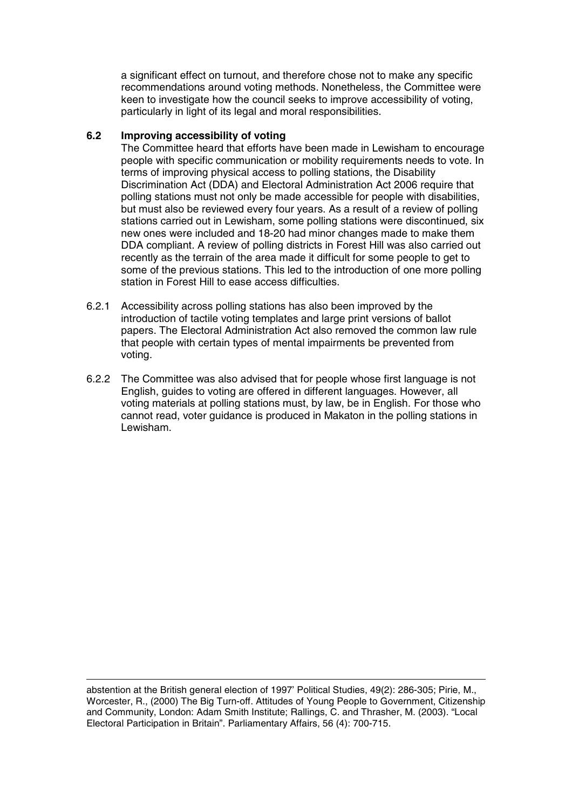a significant effect on turnout, and therefore chose not to make any specific recommendations around voting methods. Nonetheless, the Committee were keen to investigate how the council seeks to improve accessibility of voting, particularly in light of its legal and moral responsibilities.

#### **6.2 Improving accessibility of voting**

The Committee heard that efforts have been made in Lewisham to encourage people with specific communication or mobility requirements needs to vote. In terms of improving physical access to polling stations, the Disability Discrimination Act (DDA) and Electoral Administration Act 2006 require that polling stations must not only be made accessible for people with disabilities, but must also be reviewed every four years. As a result of a review of polling stations carried out in Lewisham, some polling stations were discontinued, six new ones were included and 18-20 had minor changes made to make them DDA compliant. A review of polling districts in Forest Hill was also carried out recently as the terrain of the area made it difficult for some people to get to some of the previous stations. This led to the introduction of one more polling station in Forest Hill to ease access difficulties.

- 6.2.1 Accessibility across polling stations has also been improved by the introduction of tactile voting templates and large print versions of ballot papers. The Electoral Administration Act also removed the common law rule that people with certain types of mental impairments be prevented from voting.
- 6.2.2 The Committee was also advised that for people whose first language is not English, guides to voting are offered in different languages. However, all voting materials at polling stations must, by law, be in English. For those who cannot read, voter guidance is produced in Makaton in the polling stations in Lewisham.

abstention at the British general election of 1997' Political Studies, 49(2): 286-305; Pirie, M., Worcester, R., (2000) The Big Turn-off. Attitudes of Young People to Government, Citizenship and Community, London: Adam Smith Institute; Rallings, C. and Thrasher, M. (2003). "Local Electoral Participation in Britain". Parliamentary Affairs, 56 (4): 700-715.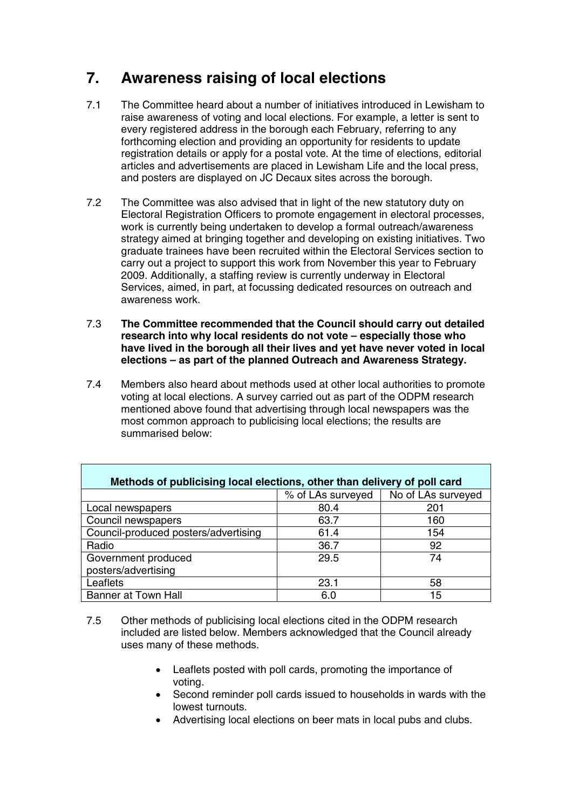## **7. Awareness raising of local elections**

- 7.1 The Committee heard about a number of initiatives introduced in Lewisham to raise awareness of voting and local elections. For example, a letter is sent to every registered address in the borough each February, referring to any forthcoming election and providing an opportunity for residents to update registration details or apply for a postal vote. At the time of elections, editorial articles and advertisements are placed in Lewisham Life and the local press, and posters are displayed on JC Decaux sites across the borough.
- 7.2 The Committee was also advised that in light of the new statutory duty on Electoral Registration Officers to promote engagement in electoral processes, work is currently being undertaken to develop a formal outreach/awareness strategy aimed at bringing together and developing on existing initiatives. Two graduate trainees have been recruited within the Electoral Services section to carry out a project to support this work from November this year to February 2009. Additionally, a staffing review is currently underway in Electoral Services, aimed, in part, at focussing dedicated resources on outreach and awareness work.
- 7.3 **The Committee recommended that the Council should carry out detailed research into why local residents do not vote – especially those who have lived in the borough all their lives and yet have never voted in local elections – as part of the planned Outreach and Awareness Strategy.**
- 7.4 Members also heard about methods used at other local authorities to promote voting at local elections. A survey carried out as part of the ODPM research mentioned above found that advertising through local newspapers was the most common approach to publicising local elections; the results are summarised below:

| Methods of publicising local elections, other than delivery of poll card |                   |                    |  |  |  |
|--------------------------------------------------------------------------|-------------------|--------------------|--|--|--|
|                                                                          | % of LAs surveyed | No of LAs surveyed |  |  |  |
| Local newspapers                                                         | 80.4              | 201                |  |  |  |
| Council newspapers                                                       | 63.7              | 160                |  |  |  |
| Council-produced posters/advertising                                     | 61.4              | 154                |  |  |  |
| Radio                                                                    | 36.7              | 92                 |  |  |  |
| Government produced                                                      | 29.5              | 74                 |  |  |  |
| posters/advertising                                                      |                   |                    |  |  |  |
| Leaflets                                                                 | 23.1              | 58                 |  |  |  |
| <b>Banner at Town Hall</b>                                               | 6.0               | 15                 |  |  |  |

- 7.5 Other methods of publicising local elections cited in the ODPM research included are listed below. Members acknowledged that the Council already uses many of these methods.
	- Leaflets posted with poll cards, promoting the importance of voting.
	- Second reminder poll cards issued to households in wards with the lowest turnouts.
	- Advertising local elections on beer mats in local pubs and clubs.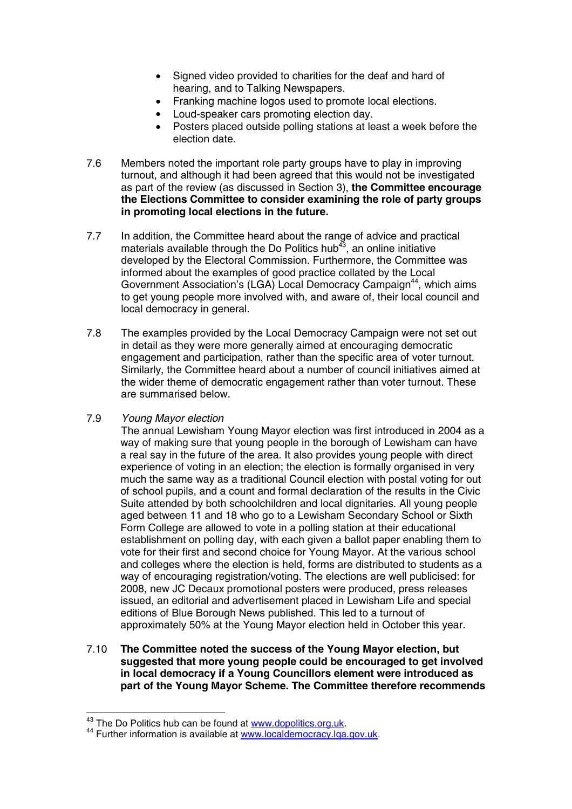- Signed video provided to charities for the deaf and hard of hearing, and to Talking Newspapers.
- Franking machine logos used to promote local elections.
- Loud-speaker cars promoting election day.
- Posters placed outside polling stations at least a week before the election date.
- 7.6 Members noted the important role party groups have to play in improving turnout, and although it had been agreed that this would not be investigated as part of the review (as discussed in Section 3), **the Committee encourage the Elections Committee to consider examining the role of party groups in promoting local elections in the future.**
- 7.7 In addition, the Committee heard about the range of advice and practical materials available through the Do Politics hub<sup>43</sup>, an online initiative developed by the Electoral Commission. Furthermore, the Committee was informed about the examples of good practice collated by the Local Government Association's (LGA) Local Democracy Campaign<sup>44</sup>, which aims to get young people more involved with, and aware of, their local council and local democracy in general.
- 7.8 The examples provided by the Local Democracy Campaign were not set out in detail as they were more generally aimed at encouraging democratic engagement and participation, rather than the specific area of voter turnout. Similarly, the Committee heard about a number of council initiatives aimed at the wider theme of democratic engagement rather than voter turnout. These are summarised below.

#### 7.9 Young Mayor election

The annual Lewisham Young Mayor election was first introduced in 2004 as a way of making sure that young people in the borough of Lewisham can have a real say in the future of the area. It also provides young people with direct experience of voting in an election; the election is formally organised in very much the same way as a traditional Council election with postal voting for out of school pupils, and a count and formal declaration of the results in the Civic Suite attended by both schoolchildren and local dignitaries. All young people aged between 11 and 18 who go to a Lewisham Secondary School or Sixth Form College are allowed to vote in a polling station at their educational establishment on polling day, with each given a ballot paper enabling them to vote for their first and second choice for Young Mayor. At the various school and colleges where the election is held, forms are distributed to students as a way of encouraging registration/voting. The elections are well publicised: for 2008, new JC Decaux promotional posters were produced, press releases issued, an editorial and advertisement placed in Lewisham Life and special editions of Blue Borough News published. This led to a turnout of approximately 50% at the Young Mayor election held in October this year.

7.10 **The Committee noted the success of the Young Mayor election, but suggested that more young people could be encouraged to get involved in local democracy if a Young Councillors element were introduced as part of the Young Mayor Scheme. The Committee therefore recommends**

<sup>&</sup>lt;sup>43</sup> The Do Politics hub can be found at www.dopolitics.org.uk.<br><sup>44</sup> Further information is available at www.localdemocracy.lga.gov.uk.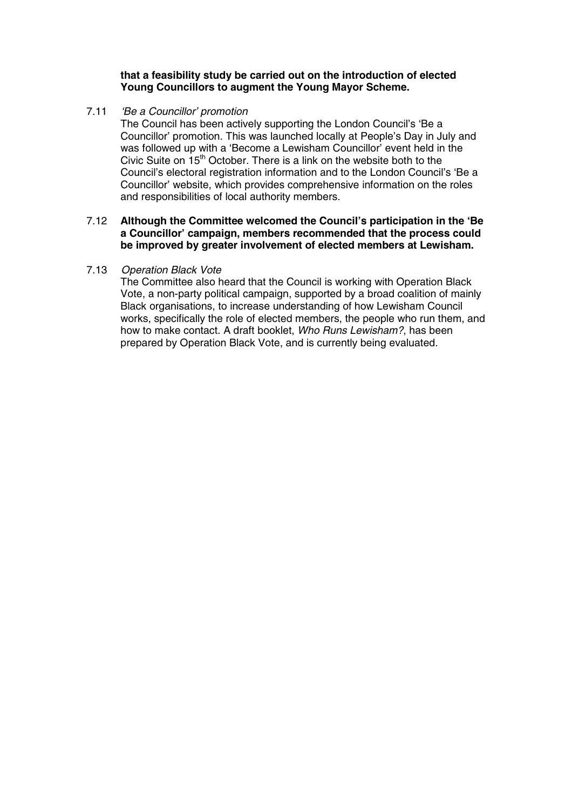#### **that a feasibility study be carried out on the introduction of elected Young Councillors to augment the Young Mayor Scheme.**

7.11 'Be a Councillor' promotion

The Council has been actively supporting the London Council's 'Be a Councillor' promotion. This was launched locally at People's Day in July and was followed up with a 'Become a Lewisham Councillor' event held in the Civic Suite on  $15<sup>th</sup>$  October. There is a link on the website both to the Council's electoral registration information and to the London Council's 'Be a Councillor' website, which provides comprehensive information on the roles and responsibilities of local authority members.

#### 7.12 **Although the Committee welcomed the Council's participation in the 'Be a Councillor' campaign, members recommended that the process could be improved by greater involvement of elected members at Lewisham.**

#### 7.13 Operation Black Vote

The Committee also heard that the Council is working with Operation Black Vote, a non-party political campaign, supported by a broad coalition of mainly Black organisations, to increase understanding of how Lewisham Council works, specifically the role of elected members, the people who run them, and how to make contact. A draft booklet, Who Runs Lewisham?, has been prepared by Operation Black Vote, and is currently being evaluated.